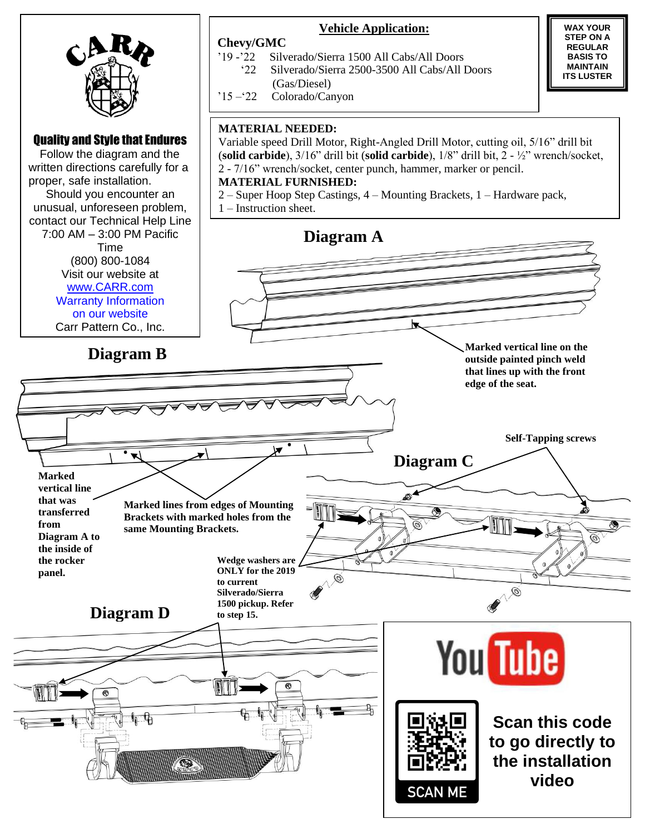